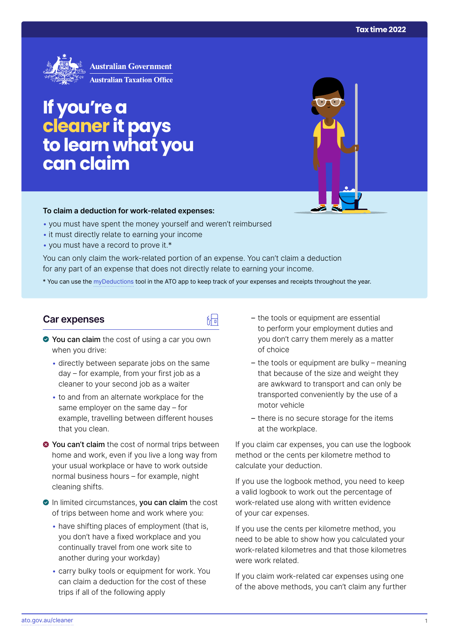

# **If you're a cleaner it pays tolearn what you can claim**

#### **To claim a deduction for work‑related expenses:**

- you must have spent the money yourself and weren't reimbursed
- it must directly relate to earning your income
- you must have a record to prove it.\*

You can only claim the work-related portion of an expense. You can't claim a deduction for any part of an expense that does not directly relate to earning your income.

\* You can use the [myDeductions](https://ato.gov.au/mydeductions) tool in the ATO app to keep track of your expenses and receipts throughout the year.

品

#### **Car expenses**

- ◆ You can claim the cost of using a car you own when you drive:
	- directly between separate jobs on the same day – for example, from your first job as a cleaner to your second job as a waiter
	- to and from an alternate workplace for the same employer on the same day – for example, travelling between different houses that you clean.
- $\bullet$  **You can't claim** the cost of normal trips between home and work, even if you live a long way from your usual workplace or have to work outside normal business hours – for example, night cleaning shifts.
- In limited circumstances, you can claim the cost of trips between home and work where you:
	- have shifting places of employment (that is, you don't have a fixed workplace and you continually travel from one work site to another during your workday)
	- carry bulky tools or equipment for work. You can claim a deduction for the cost of these trips if all of the following apply
- the tools or equipment are essential to perform your employment duties and you don't carry them merely as a matter of choice
- the tools or equipment are bulky meaning that because of the size and weight they are awkward to transport and can only be transported conveniently by the use of a motor vehicle
- there is no secure storage for the items at the workplace.

If you claim car expenses, you can use the logbook method or the cents per kilometre method to calculate your deduction.

If you use the logbook method, you need to keep a valid logbook to work out the percentage of work-related use along with written evidence of your car expenses.

If you use the cents per kilometre method, you need to be able to show how you calculated your work-related kilometres and that those kilometres were work related.

If you claim work-related car expenses using one of the above methods, you can't claim any further